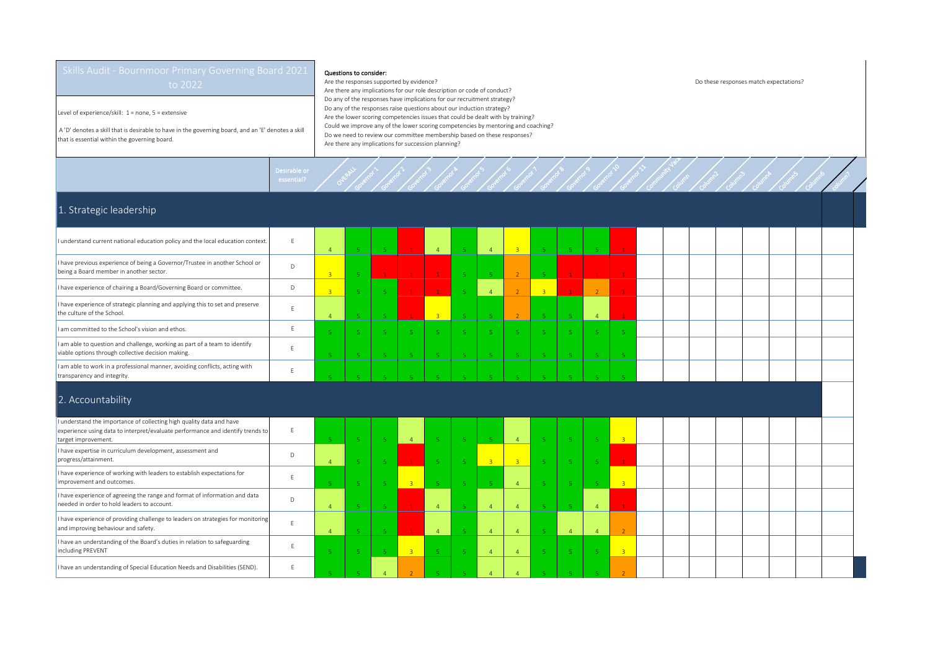Level of experience/skill: 1 = none, 5 = extensive

 A 'D' denotes a skill that is desirable to have in the governing board, and an 'E' denotes a skill that is essential within the governing board.

## Questions to consider:

Governor >

Governor 2

Governor 3

Desirable or<br>essential? Overall

E

E

Are the responses supported by evidence? Do these responses match expectations? Are there any implications for our role description or code of conduct? Do any of the responses have implications for our recruitment strategy? Do any of the responses raise questions about our induction strategy? Are the lower scoring competencies issues that could be dealt with by training? Could we improve any of the lower scoring competencies by mentoring and coaching? Do we need to review our committee membership based on these responses? Are there any implications for succession planning?

Governor 4

Governor 5

Governor 6

Governor 7

Governor 8

Governor 9

Governor 10

Governor 11

Community Vacancy Column

Column2

Column3

Column4

Column5

Column6

Column 7

## 1. Strategic leadership

improvement and outcomes.

including PREVENT

I have experience of agreeing the range and format of information and data needed in order to hold leaders to account.<br>Ineeded in order to hold leaders to account.

I have experience of providing challenge to leaders on strategies for monitoring Thave experience of providing challenge to leaders on strategies for monitoring E

I have an understanding of Special Education Needs and Disabilities (SEND). E

I have an understanding of the Board's duties in relation to safeguarding

| I understand current national education policy and the local education context.                                                                                               | F            | $\overline{4}$ | -51                     |          | $\mathbf{1}$   | $4 -$          | -5 -           | $\overline{4}$ | $\overline{3}$ |                | $-5$           | -5.            |      |  |  |  |  |  |
|-------------------------------------------------------------------------------------------------------------------------------------------------------------------------------|--------------|----------------|-------------------------|----------|----------------|----------------|----------------|----------------|----------------|----------------|----------------|----------------|------|--|--|--|--|--|
| I have previous experience of being a Governor/Trustee in another School or<br>being a Board member in another sector.                                                        | D            | $\overline{3}$ |                         |          |                |                | 5 <sup>7</sup> |                | $\overline{2}$ |                | $\mathbf{1}$   |                |      |  |  |  |  |  |
| I have experience of chairing a Board/Governing Board or committee.                                                                                                           | D            | $\overline{3}$ | $\mathbf{E}_\mathrm{c}$ |          | $\overline{1}$ |                | -51            |                | 2 <sup>7</sup> | $\overline{3}$ | 1 <sup>1</sup> |                |      |  |  |  |  |  |
| I have experience of strategic planning and applying this to set and preserve<br>the culture of the School.                                                                   | F            |                |                         |          | $\mathbf{1}$   | $\overline{3}$ | 5              |                | <sup>2</sup>   |                | -5.            | $\overline{4}$ |      |  |  |  |  |  |
| I am committed to the School's vision and ethos.                                                                                                                              |              |                | -51                     | -51      | -5             | $5^{\circ}$    | -5             | is.            | -51            |                | -51            | -5             |      |  |  |  |  |  |
| I am able to question and challenge, working as part of a team to identify<br>viable options through collective decision making.                                              |              |                | 5.                      |          | -5             | -51            | -5             |                | 5              |                | -5.            | -5             |      |  |  |  |  |  |
| I am able to work in a professional manner, avoiding conflicts, acting with<br>transparency and integrity.                                                                    |              |                |                         |          |                |                |                |                |                |                |                |                |      |  |  |  |  |  |
| 2. Accountability                                                                                                                                                             |              |                |                         |          |                |                |                |                |                |                |                |                |      |  |  |  |  |  |
| I understand the importance of collecting high quality data and have<br>experience using data to interpret/evaluate performance and identify trends to<br>target improvement. |              | -51            | -51                     | -5 -     | $\overline{4}$ | $5 -$          | $-5$           |                | $\overline{4}$ |                | $-5$           | $-5$           | $-3$ |  |  |  |  |  |
| I have expertise in curriculum development, assessment and<br>progress/attainment.                                                                                            | $\mathsf{D}$ |                |                         | <b>C</b> | $\mathbf{1}$   | -51            | -5 -           | $-3$           | $\overline{3}$ |                | -51            | -5.            |      |  |  |  |  |  |
| I have experience of working with leaders to establish expectations for                                                                                                       |              |                |                         |          |                |                |                |                |                |                |                |                |      |  |  |  |  |  |

5 **5 5 5 3 5 4 5 4 5 5 5 4** 5 5 5 3

4 5 5 5 <del>1 4</del> 5 4 4 4 5 5 4 <mark>4 1</mark>

4 **5 5 1 4 5 4 4 5 4 5 4 4 4** 2

5 **5 5 5 3 5 4 4 4 5 5 5 5 3** 

5 **5 4 2 5 5 4 4 4 5 5 5 2**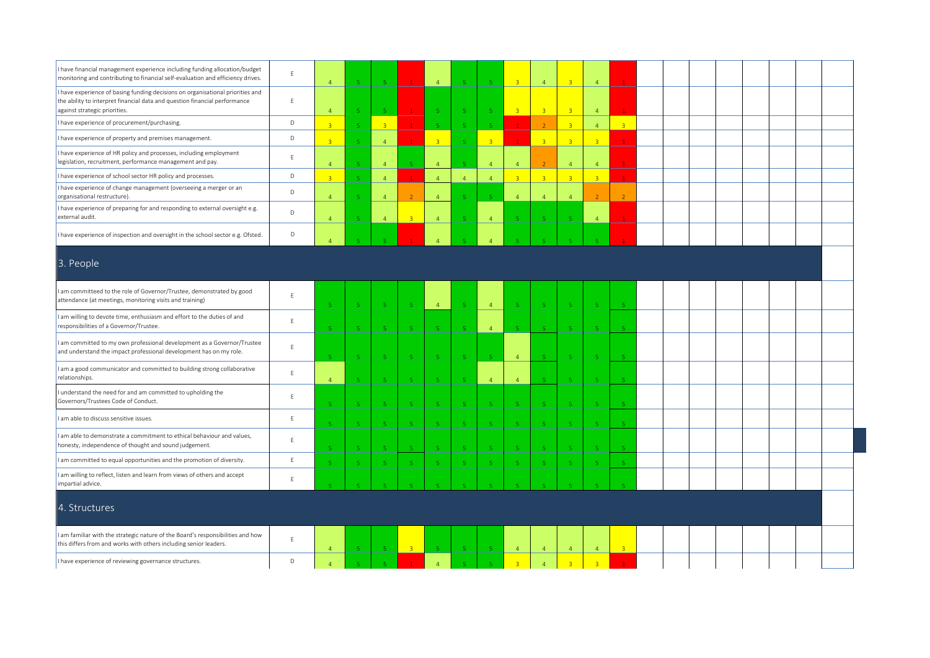| I have financial management experience including funding allocation/budget<br>monitoring and contributing to financial self-evaluation and efficiency drives.                                 | E              | $\overline{4}$            | $\mathbf{R}$                   |                |                       | $\overline{4}$           |                | $-5$                     | $\overline{3}$              | $\overline{4}$          |                | $\overline{4}$          |                         |  |  |  |  |  |
|-----------------------------------------------------------------------------------------------------------------------------------------------------------------------------------------------|----------------|---------------------------|--------------------------------|----------------|-----------------------|--------------------------|----------------|--------------------------|-----------------------------|-------------------------|----------------|-------------------------|-------------------------|--|--|--|--|--|
| I have experience of basing funding decisions on organisational priorities and<br>the ability to interpret financial data and question financial performance<br>against strategic priorities. | $\mathsf E$    | $\overline{4}$            | -5                             |                |                       | $\overline{\mathbb{Q}}$  |                | -5                       | $\overline{3}$              | $\overline{3}$          | $\overline{3}$ | $\overline{4}$          |                         |  |  |  |  |  |
| I have experience of procurement/purchasing.                                                                                                                                                  | D              | $\overline{3}$            | -5                             | $\overline{3}$ |                       | J,                       |                | $\overline{\phantom{a}}$ |                             | $\overline{2}$          | $\overline{3}$ | $\overline{4}$          | $\overline{3}$          |  |  |  |  |  |
| I have experience of property and premises management.                                                                                                                                        | D              | $\overline{R}$            | 5 <sub>1</sub>                 | $\overline{4}$ |                       | $\overline{3}$           |                | $\overline{\mathbf{3}}$  |                             | $\overline{3}$          | $\overline{3}$ | $\overline{3}$          |                         |  |  |  |  |  |
| I have experience of HR policy and processes, including employment<br>legislation, recruitment, performance management and pay.                                                               | E              | $\overline{4}$            | 5 <sub>1</sub>                 | $\overline{4}$ | $\mathbf{E}^{\prime}$ | $\overline{a}$           |                | $\overline{4}$           | $\overline{4}$              | $\overline{2}$          | $\overline{4}$ | $\overline{4}$          |                         |  |  |  |  |  |
| I have experience of school sector HR policy and processes.                                                                                                                                   | D              | $\overline{3}$            | $\mathsf S$                    | $\overline{4}$ |                       | $\overline{4}$           | $\overline{4}$ | $\overline{4}$           | 3 <sup>2</sup>              | $\overline{3}$          | 3 <sup>°</sup> | 3 <sup>°</sup>          |                         |  |  |  |  |  |
| I have experience of change management (overseeing a merger or an<br>organisational restructure).                                                                                             | D              | $\overline{4}$            | $\sqrt{5}$                     | $\overline{4}$ |                       | $\overline{4}$           | $\mathbf{q}$   | $\overline{5}$           | $\overline{4}$              | $\overline{4}$          | $\overline{4}$ | $\overline{2}$          | $\overline{z}$          |  |  |  |  |  |
| I have experience of preparing for and responding to external oversight e.g.<br>external audit.                                                                                               | D              | $\overline{4}$            | $-5$                           | $\overline{4}$ | $\mathbf{R}$          | $\overline{4}$           |                | $\overline{4}$           | $\overline{5}$              | -51                     | <b>K</b>       | $\overline{4}$          |                         |  |  |  |  |  |
| I have experience of inspection and oversight in the school sector e.g. Ofsted.                                                                                                               | D              | $\Lambda$                 |                                |                |                       |                          |                |                          |                             |                         |                |                         |                         |  |  |  |  |  |
| 3. People                                                                                                                                                                                     |                |                           |                                |                |                       |                          |                |                          |                             |                         |                |                         |                         |  |  |  |  |  |
| am committeed to the role of Governor/Trustee, demonstrated by good<br>attendance (at meetings, monitoring visits and training)                                                               | E              | $\mathbf{r}_i$            | -51                            |                |                       | $\overline{4}$           |                | $\overline{4}$           |                             | $\mathbf{r}_\mathrm{c}$ |                | $\overline{5}$          |                         |  |  |  |  |  |
| I am willing to devote time, enthusiasm and effort to the duties of and<br>responsibilities of a Governor/Trustee.                                                                            | $\mathsf{E}^-$ | $\mathbf{r}_i$            | $-5$                           | -5.            | -51                   | -5                       | <b>K</b>       | $\overline{4}$           | $\mathcal{L}_{\mathcal{A}}$ | $\mathbf{R}^{\prime}$   | -51            | 5 <sub>o</sub>          |                         |  |  |  |  |  |
| I am committed to my own professional development as a Governor/Trustee<br>and understand the impact professional development has on my role.                                                 | E              |                           | $\sqrt{5}$                     |                |                       | -5                       |                | $\mathbf{R}$             | $\overline{4}$              |                         | i5             | -5                      |                         |  |  |  |  |  |
| I am a good communicator and committed to building strong collaborative<br>relationships.                                                                                                     | E              | $\overline{4}$            | -5                             |                | -51                   | -5                       |                | $\overline{4}$           | $\overline{4}$              | $\mathbf{r}_i$          |                | 5 <sub>1</sub>          |                         |  |  |  |  |  |
| understand the need for and am committed to upholding the<br>Governors/Trustees Code of Conduct.                                                                                              | $\mathsf E$    |                           | -5                             |                |                       | $\overline{5}$           |                | $\overline{5}$           |                             |                         |                | 5                       |                         |  |  |  |  |  |
| I am able to discuss sensitive issues.                                                                                                                                                        | $\mathsf E$    |                           | -51                            |                |                       | -5                       |                | -5                       | -5                          | -51                     |                | $\overline{\mathbf{5}}$ |                         |  |  |  |  |  |
| I am able to demonstrate a commitment to ethical behaviour and values,<br>honesty, independence of thought and sound judgement.                                                               | E              |                           | -5.                            |                |                       | $\overline{\phantom{a}}$ |                | $\sqrt{5}$               | $\sqrt{5}$                  | $\overline{5}$          |                | 5                       |                         |  |  |  |  |  |
| I am committed to equal opportunities and the promotion of diversity.                                                                                                                         | $\mathsf E$    | $\overline{\mathbf{r}}_i$ | $\sqrt{5}$                     | -5.            | 5                     | $\sqrt{5}$               | $5^{\circ}$    | $\sqrt{5}$               | $\sqrt{5}$                  | $\,$ 5 $\,$             | 5 <sup>°</sup> | $\sqrt{5}$              |                         |  |  |  |  |  |
| I am willing to reflect, listen and learn from views of others and accept<br>impartial advice.                                                                                                | E              |                           |                                |                |                       |                          |                |                          |                             |                         |                |                         |                         |  |  |  |  |  |
| 4. Structures                                                                                                                                                                                 |                |                           |                                |                |                       |                          |                |                          |                             |                         |                |                         |                         |  |  |  |  |  |
| I am familiar with the strategic nature of the Board's responsibilities and how<br>this differs from and works with others including senior leaders.                                          | $\mathsf E$    | $\overline{4}$            | -5                             |                | $\overline{3}$        |                          |                | - 5                      | $\overline{4}$              | $\overline{4}$          | $\overline{4}$ | $\overline{4}$          | $\overline{\mathbf{3}}$ |  |  |  |  |  |
| I have experience of reviewing governance structures.                                                                                                                                         | D              | $\overline{4}$            | $\langle \mathbf{r}_i \rangle$ |                |                       | $\overline{4}$           | $\mathbf{r}$   | $\mathbf{R}$             | $\overline{3}$              | $\overline{4}$          | $\overline{3}$ | $\overline{3}$          |                         |  |  |  |  |  |